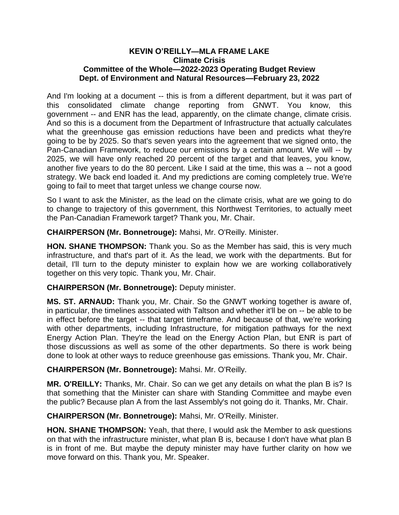## **KEVIN O'REILLY—MLA FRAME LAKE Climate Crisis Committee of the Whole—2022-2023 Operating Budget Review Dept. of Environment and Natural Resources—February 23, 2022**

And I'm looking at a document -- this is from a different department, but it was part of this consolidated climate change reporting from GNWT. You know, this government -- and ENR has the lead, apparently, on the climate change, climate crisis. And so this is a document from the Department of Infrastructure that actually calculates what the greenhouse gas emission reductions have been and predicts what they're going to be by 2025. So that's seven years into the agreement that we signed onto, the Pan-Canadian Framework, to reduce our emissions by a certain amount. We will -- by 2025, we will have only reached 20 percent of the target and that leaves, you know, another five years to do the 80 percent. Like I said at the time, this was a -- not a good strategy. We back end loaded it. And my predictions are coming completely true. We're going to fail to meet that target unless we change course now.

So I want to ask the Minister, as the lead on the climate crisis, what are we going to do to change to trajectory of this government, this Northwest Territories, to actually meet the Pan-Canadian Framework target? Thank you, Mr. Chair.

**CHAIRPERSON (Mr. Bonnetrouge):** Mahsi, Mr. O'Reilly. Minister.

**HON. SHANE THOMPSON:** Thank you. So as the Member has said, this is very much infrastructure, and that's part of it. As the lead, we work with the departments. But for detail, I'll turn to the deputy minister to explain how we are working collaboratively together on this very topic. Thank you, Mr. Chair.

**CHAIRPERSON (Mr. Bonnetrouge):** Deputy minister.

**MS. ST. ARNAUD:** Thank you, Mr. Chair. So the GNWT working together is aware of, in particular, the timelines associated with Taltson and whether it'll be on -- be able to be in effect before the target -- that target timeframe. And because of that, we're working with other departments, including Infrastructure, for mitigation pathways for the next Energy Action Plan. They're the lead on the Energy Action Plan, but ENR is part of those discussions as well as some of the other departments. So there is work being done to look at other ways to reduce greenhouse gas emissions. Thank you, Mr. Chair.

## **CHAIRPERSON (Mr. Bonnetrouge):** Mahsi. Mr. O'Reilly.

**MR. O'REILLY:** Thanks, Mr. Chair. So can we get any details on what the plan B is? Is that something that the Minister can share with Standing Committee and maybe even the public? Because plan A from the last Assembly's not going do it. Thanks, Mr. Chair.

**CHAIRPERSON (Mr. Bonnetrouge):** Mahsi, Mr. O'Reilly. Minister.

**HON. SHANE THOMPSON:** Yeah, that there, I would ask the Member to ask questions on that with the infrastructure minister, what plan B is, because I don't have what plan B is in front of me. But maybe the deputy minister may have further clarity on how we move forward on this. Thank you, Mr. Speaker.